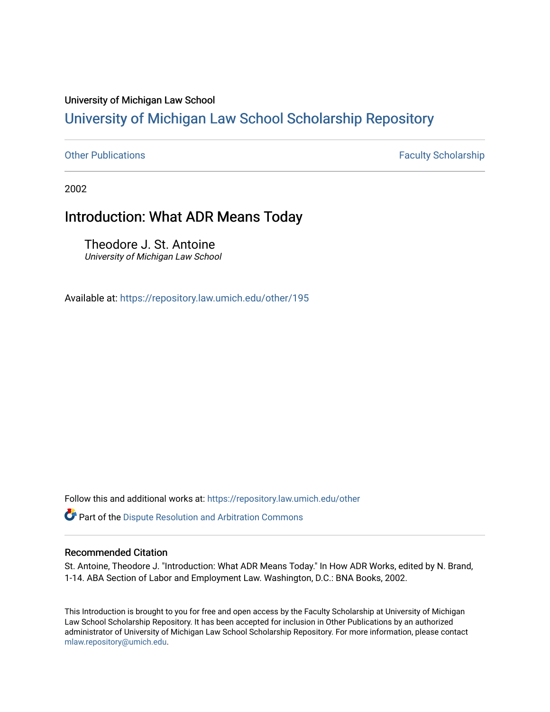#### University of Michigan Law School

### [University of Michigan Law School Scholarship Repository](https://repository.law.umich.edu/)

[Other Publications](https://repository.law.umich.edu/other) **Faculty Scholarship Faculty Scholarship Faculty Scholarship** 

2002

### Introduction: What ADR Means Today

Theodore J. St. Antoine University of Michigan Law School

Available at: <https://repository.law.umich.edu/other/195>

Follow this and additional works at: [https://repository.law.umich.edu/other](https://repository.law.umich.edu/other?utm_source=repository.law.umich.edu%2Fother%2F195&utm_medium=PDF&utm_campaign=PDFCoverPages)

**Part of the Dispute Resolution and Arbitration Commons** 

#### Recommended Citation

St. Antoine, Theodore J. "Introduction: What ADR Means Today." In How ADR Works, edited by N. Brand, 1-14. ABA Section of Labor and Employment Law. Washington, D.C.: BNA Books, 2002.

This Introduction is brought to you for free and open access by the Faculty Scholarship at University of Michigan Law School Scholarship Repository. It has been accepted for inclusion in Other Publications by an authorized administrator of University of Michigan Law School Scholarship Repository. For more information, please contact [mlaw.repository@umich.edu.](mailto:mlaw.repository@umich.edu)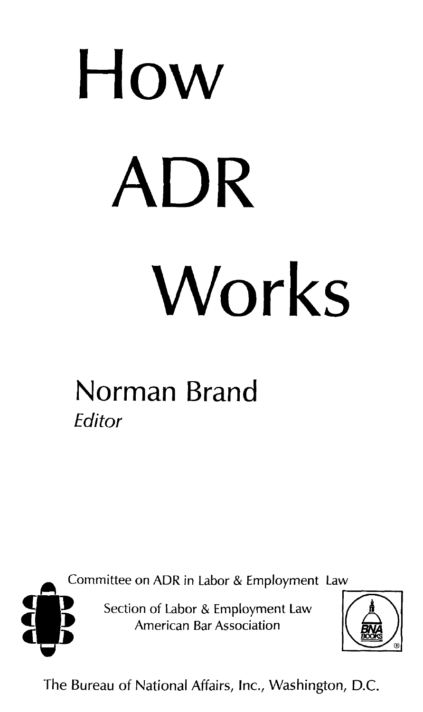# **How ADR Works**

# **Norman Brand Editor**

**Example 20 Committee on ADR in Labor & Employment Law 5. [1]**<br>Section of Labor & Employment Law

 $A$ merican Bar Association



The Bureau of National Affairs, Inc., Washington, D.C.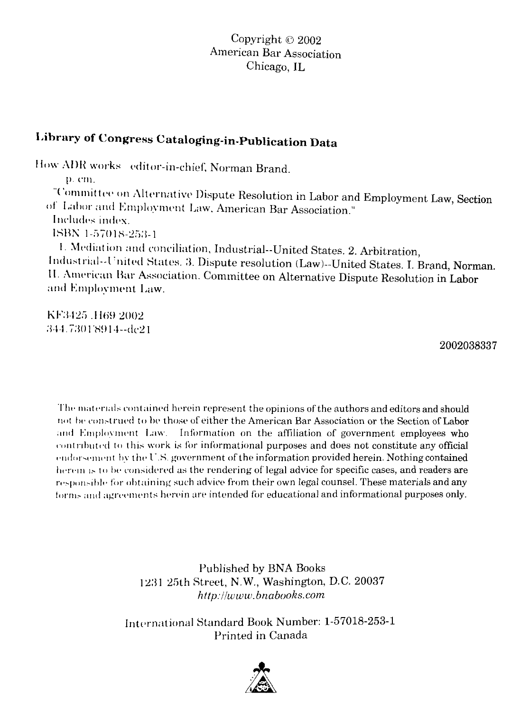#### **Library of Congress Cataloging-in-Publication Data**

How ADR works editor-in-chief. Norman Brand.

p. cm.

"Committee on Alternative Dispute Resolution in Labor and Employment Law, Section of Labor and Employment Law, American Bar Association." Includes index.

**J:-,HJ\** l-i">101H-2:>:l-l

1. Mediation and conciliation, Industrial--United States. 2. Arbitration, Industrial--United States. 3. Dispute resolution (Law)--United States. I. Brand, Norman. 11. American Bar Association. Committee on Alternative Dispute Resolution in Labor and Employment Law.

KF3425 .H69 2002 :344.7301'8914--dc21

2002038337

The materials contained herein represent the opinions of the authors and editors and should not be construed to be those of either the American Bar Association or the Section of Labor and Employment Law. Information on the affiliation of government employees who contributed to this work is for informational purposes and does not constitute any official endorsement by the U.S. government of the information provided herein. Nothing contained herein is to be considered as the rendering of legal advice for specific cases, and readers are responsible for obtaining such advice from their own legal counsel. These materials and any forms and agreements herein are intended for educational and informational purposes only.

> Published by BNA Books 12:ll 2Mh Street, **N.W.,** Washington, D.C. 20037 *http://www.bnabooks.com*

International Standard Book Number: 1-57018-253-1 Printed in Canada

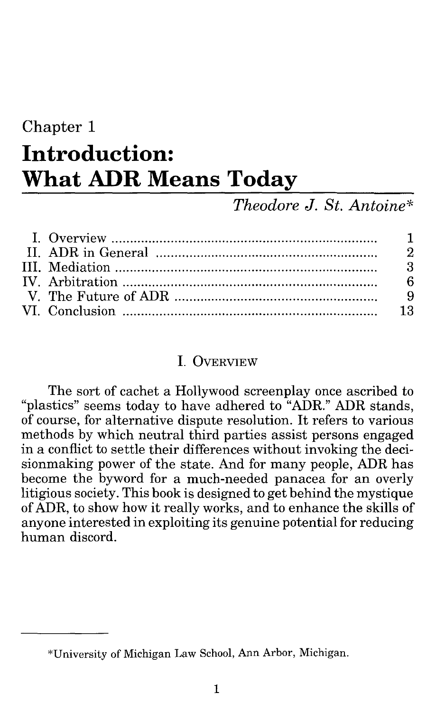## Chapter 1 **Introduction: What ADR Means Today**

#### *Theodore* J. *St. Antoine\**

#### I. OVERVIEW

The sort of cachet a Hollywood screenplay once ascribed to "plastics" seems today to have adhered to "ADR." ADR stands, of course, for alternative dispute resolution. It refers to various methods by which neutral third parties assist persons engaged in a conflict to settle their differences without invoking the decisionmaking power of the state. And for many people, ADR has become the byword for a much-needed panacea for an overly litigious society. This book is designed to get behind the mystique of ADR, to show how it really works, and to enhance the skills of anyone interested in exploiting its genuine potential for reducing human discord.

<sup>\*</sup>University of Michigan Law School, Ann Arbor, Michigan.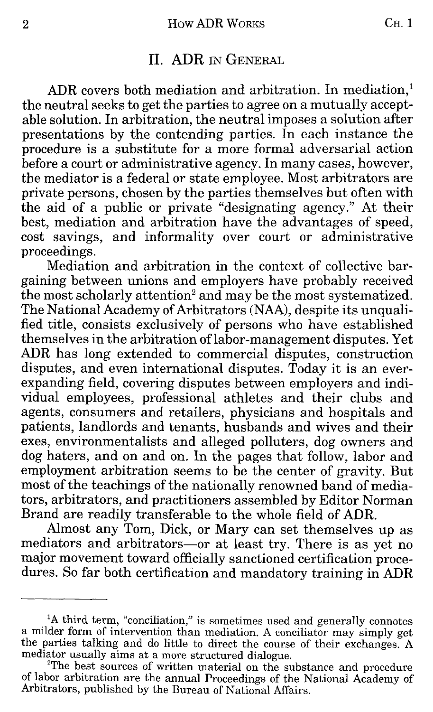#### 2 How ADR WORKS CH. 1

#### II. ADR IN GENERAL

ADR covers both mediation and arbitration. In mediation,<sup>1</sup> the neutral seeks to get the parties to agree on a mutually acceptable solution. In arbitration, the neutral imposes a solution after presentations by the contending parties. In each instance the procedure is a substitute for a more formal adversarial action before a court or administrative agency. In many cases, however, the mediator is a federal or state employee. Most arbitrators are private persons, chosen by the parties themselves but often with the aid of a public or private "designating agency." At their best, mediation and arbitration have the advantages of speed, cost savings, and informality over court or administrative proceedings.

Mediation and arbitration in the context of collective bargaining between unions and employers have probably received the most scholarly attention<sup>2</sup> and may be the most systematized. The National Academy of Arbitrators (NAA), despite its unqualified title, consists exclusively of persons who have established themselves in the arbitration oflabor-management disputes. Yet ADR has long extended to commercial disputes, construction disputes, and even international disputes. Today it is an everexpanding field, covering disputes between employers and individual employees, professional athletes and their clubs and agents, consumers and retailers, physicians and hospitals and patients, landlords and tenants, husbands and wives and their exes, environmentalists and alleged polluters, dog owners and dog haters, and on and on. In the pages that follow, labor and employment arbitration seems to be the center of gravity. But most of the teachings of the nationally renowned band of mediators, arbitrators, and practitioners assembled by Editor Norman Brand are readily transferable to the whole field of ADR.

Almost any Tom, Dick, or Mary can set themselves up as mediators and arbitrators-or at least try. There is as yet no major movement toward officially sanctioned certification procedures. So far both certification and mandatory training in ADR

<sup>&</sup>lt;sup>1</sup>A third term, "conciliation," is sometimes used and generally connotes a milder form of intervention than mediation. A conciliator may simply get the parties talking and do little to direct the course of their exchanges. A mediator usually aims at a more structured dialogue.

<sup>&</sup>lt;sup>2</sup>The best sources of written material on the substance and procedure of labor arbitration are the annual Proceedings of the National Academy of Arbitrators, published by the Bureau of National Affairs.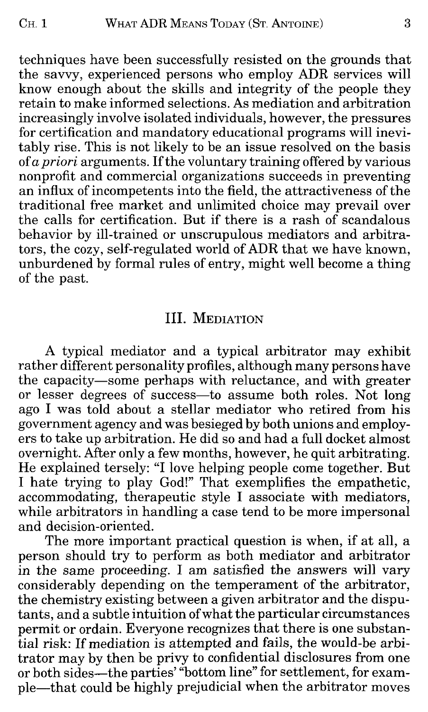techniques have been successfully resisted on the grounds that the savvy, experienced persons who employ ADR services will know enough about the skills and integrity of the people they retain to make informed selections. As mediation and arbitration increasingly involve isolated individuals, however, the pressures for certification and mandatory educational programs will inevitably rise. This is not likely to be an issue resolved on the basis of *a priori* arguments. If the voluntary training offered by various nonprofit and commercial organizations succeeds in preventing an influx of incompetents into the field, the attractiveness of the traditional free market and unlimited choice may prevail over the calls for certification. But if there is a rash of scandalous behavior by ill-trained or unscrupulous mediators and arbitrators, the cozy, self-regulated world of ADR that we have known, unburdened by formal rules of entry, might well become a thing of the past.

#### III. MEDIATION

A typical mediator and a typical arbitrator may exhibit rather different personality profiles, although many persons have the capacity-some perhaps with reluctance, and with greater or lesser degrees of success-to assume both roles. Not long ago I was told about a stellar mediator who retired from his government agency and was besieged by both unions and employers to take up arbitration. He did so and had a full docket almost overnight. After only a few months, however, he quit arbitrating. He explained tersely: "I love helping people come together. But I hate trying to play God!" That exemplifies the empathetic, accommodating, therapeutic style I associate with mediators, while arbitrators in handling a case tend to be more impersonal and decision-oriented.

The more important practical question is when, if at all, a person should try to perform as both mediator and arbitrator in the same proceeding. I am satisfied the answers will vary considerably depending on the temperament of the arbitrator, the chemistry existing between a given arbitrator and the disputants, and a subtle intuition of what the particular circumstances permit or ordain. Everyone recognizes that there is one substantial risk: If mediation is attempted and fails, the would-be arbitrator may by then be privy to confidential disclosures from one or both sides—the parties' "bottom line" for settlement, for example-that could be highly prejudicial when the arbitrator moves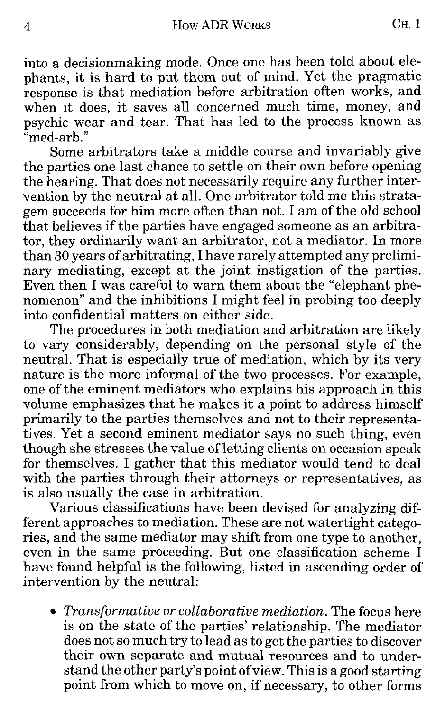into a decisionmaking mode. Once one has been told about elephants, it is hard to put them out of mind. Yet the pragmatic response is that mediation before arbitration often works, and when it does, it saves all concerned much time, money, and psychic wear and tear. That has led to the process known as "med-arb."

Some arbitrators take a middle course and invariably give the parties one last chance to settle on their own before opening the hearing. That does not necessarily require any further intervention by the neutral at all. One arbitrator told me this stratagem succeeds for him more often than not. I am of the old school that believes if the parties have engaged someone as an arbitrator, they ordinarily want an arbitrator, not a mediator. In more than 30 years of arbitrating, I have rarely attempted any preliminary mediating, except at the joint instigation of the parties. Even then I was careful to warn them about the "elephant phenomenon" and the inhibitions I might feel in probing too deeply into confidential matters on either side.

The procedures in both mediation and arbitration are likely to vary considerably, depending on the personal style of the neutral. That is especially true of mediation, which by its very nature is the more informal of the two processes. For example, one of the eminent mediators who explains his approach in this volume emphasizes that he makes it a point to address himself primarily to the parties themselves and not to their representatives. Yet a second eminent mediator says no such thing, even though she stresses the value of letting clients on occasion speak for themselves. I gather that this mediator would tend to deal with the parties through their attorneys or representatives, as is also usually the case in arbitration.

Various classifications have been devised for analyzing different approaches to mediation. These are not watertight categories, and the same mediator may shift from one type to another, even in the same proceeding. But one classification scheme I have found helpful is the following, listed in ascending order of intervention by the neutral:

• *Transformative or collaborative mediation.* The focus here is on the state of the parties' relationship. The mediator does not so much try to lead as to get the parties to discover their own separate and mutual resources and to understand the other party's point of view. This is a good starting point from which to move on, if necessary, to other forms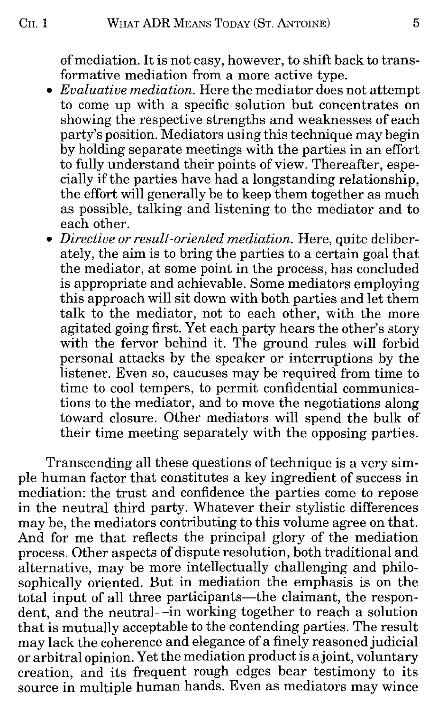of mediation. It is not easy, however, to shift back to transformative mediation from a more active type.

- *Evaluative mediation*. Here the mediator does not attempt to come up with a specific solution but concentrates on showing the respective strengths and weaknesses of each party's position. Mediators using this technique may begin by holding separate meetings with the parties in an effort to fully understand their points of view. Thereafter, especially if the parties have had a longstanding relationship, the effort will generally be to keep them together as much as possible, talking and listening to the mediator and to each other.
- *Directive or result-oriented mediation.* Here, quite deliberately, the aim is to bring the parties to a certain goal that the mediator, at some point in the process, has concluded is appropriate and achievable. Some mediators employing this approach will sit down with both parties and let them talk to the mediator, not to each other, with the more agitated going first. Yet each party hears the other's story with the fervor behind it. The ground rules will forbid personal attacks by the speaker or interruptions by the listener. Even so, caucuses may be required from time to time to cool tempers, to permit confidential communications to the mediator, and to move the negotiations along toward closure. Other mediators will spend the bulk of their time meeting separately with the opposing parties.

Transcending all these questions of technique is a very simple human factor that constitutes a key ingredient of success in mediation: the trust and confidence the parties come to repose in the neutral third party. Whatever their stylistic differences may be, the mediators contributing to this volume agree on that. And for me that reflects the principal glory of the mediation process. Other aspects of dispute resolution, both traditional and alternative, may be more intellectually challenging and philosophically oriented. But in mediation the emphasis is on the total input of all three participants—the claimant, the respondent, and the neutral—in working together to reach a solution that is mutually acceptable to the contending parties. The result may lack the coherence and elegance of a finely reasoned judicial or arbitral opinion. Yet the mediation product is a joint, voluntary creation, and its frequent rough edges bear testimony to its source in multiple human hands. Even as mediators may wince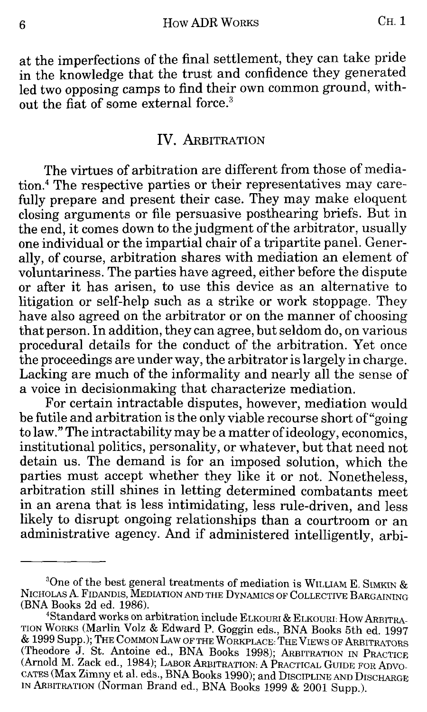6 **6 How ADR WORKS CH. 1** 

at the imperfections of the final settlement, they can take pride in the knowledge that the trust and confidence they generated led two opposing camps to find their own common ground, without the fiat of some external force. <sup>3</sup>

#### IV. ARBITRATION

The virtues of arbitration are different from those of mediation.4 The respective parties or their representatives may carefully prepare and present their case. They may make eloquent closing arguments or file persuasive posthearing briefs. But in the end, it comes down to the judgment of the arbitrator, usually one individual or the impartial chair of a tripartite panel. Generally, of course, arbitration shares with mediation an element of voluntariness. The parties have agreed, either before the dispute or after it has arisen, to use this device as an alternative to litigation or self-help such as a strike or work stoppage. They have also agreed on the arbitrator or on the manner of choosing that person. In addition, they can agree, but seldom do, on various procedural details for the conduct of the arbitration. Yet once the proceedings are under way, the arbitrator is largely in charge. Lacking are much of the informality and nearly all the sense of a voice in decisionmaking that characterize mediation.

For certain intractable disputes, however, mediation would be futile and arbitration is the only viable recourse short of"going to law." The intractability may be a matter of ideology, economics, institutional politics, personality, or whatever, but that need not detain us. The demand is for an imposed solution, which the parties must accept whether they like it or not. Nonetheless, arbitration still shines in letting determined combatants meet in an arena that is less intimidating, less rule-driven, and less likely to disrupt ongoing relationships than a courtroom or an administrative agency. And if administered intelligently, arbi-

 $^3$ One of the best general treatments of mediation is WILLIAM E. SIMKIN & NICHOLAS A. FIDANDIS, MEDIATION AND THE DYNAMICS OF COLLECTIVE BARGAINING (BNA Books 2d ed. 1986).

<sup>4</sup> Standard works on arbitration include ELKOURI & ELKOURI: How ARBITRA-TION WoRKS (Marlin Volz & Edward P. Goggin eds., BNA Books 5th ed. 1997 & 1999 Supp.); THE COMMON LAW OF THE WORKPLACE: THE VIEWS OF ARBITRATORS (Theodore J. St. Antoine ed., BNA Books 1998); ARBITRATION IN PRACTICE (Arnold M. Zack ed., 1984); LABOR ARBITRATION: A PRACTICAL GUIDE FOR ADVO-CATES (Max Zimny et al. eds., BNA Books 1990); and DISCIPLINE AND DISCHARGE IN ARBITRATION (Norman Brand ed., BNA Books 1999 & 2001 Supp.).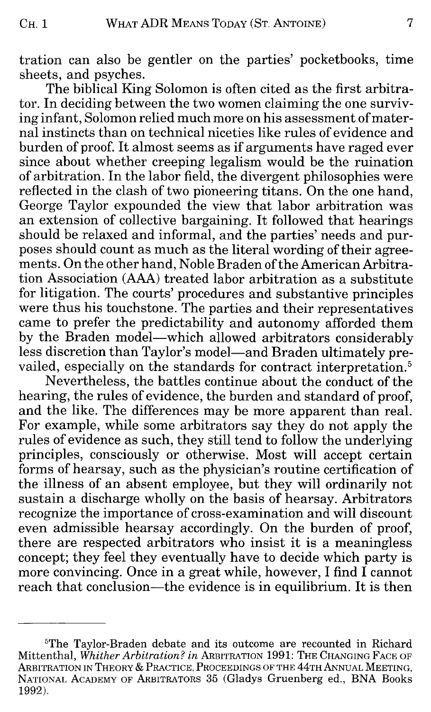tration can also be gentler on the parties' pocketbooks, time sheets, and psyches.

The biblical King Solomon is often cited as the first arbitrator. In deciding between the two women claiming the one surviving infant, Solomon relied much more on his assessment of maternal instincts than on technical niceties like rules of evidence and burden of proof. It almost seems as if arguments have raged ever since about whether creeping legalism would be the ruination of arbitration. In the labor field, the divergent philosophies were reflected in the clash of two pioneering titans. On the one hand, George Taylor expounded the view that labor arbitration was an extension of collective bargaining. It followed that hearings should be relaxed and informal, and the parties' needs and purposes should count as much as the literal wording of their agreements. On the other hand, Noble Braden of the American Arbitration Association (AAA) treated labor arbitration as a substitute for litigation. The courts' procedures and substantive principles were thus his touchstone. The parties and their representatives came to prefer the predictability and autonomy afforded them by the Braden model—which allowed arbitrators considerably less discretion than Taylor's model—and Braden ultimately prevailed, especially on the standards for contract interpretation.<sup>5</sup>

Nevertheless, the battles continue about the conduct of the hearing, the rules of evidence, the burden and standard of proof, and the like. The differences may be more apparent than real. For example, while some arbitrators say they do not apply the rules of evidence as such, they still tend to follow the underlying principles, consciously or otherwise. Most will accept certain forms of hearsay, such as the physician's routine certification of the illness of an absent employee, but they will ordinarily not sustain a discharge wholly on the basis of hearsay. Arbitrators recognize the importance of cross-examination and will discount even admissible hearsay accordingly. On the burden of proof, there are respected arbitrators who insist it is a meaningless concept; they feel they eventually have to decide which party is more convincing. Once in a great while, however, I find I cannot reach that conclusion—the evidence is in equilibrium. It is then

<sup>5</sup> The Taylor-Braden debate and its outcome are recounted in Richard Mittenthal, *Whither Arbitration? in* ARBITRATION 1991: THE CHANGING FACE OF ARBITRATION IN THEORY & PRACTICE, PROCEEDINGS OF THE 44TH ANNUAL MEETING, NATIONAL ACADEMY OF ARBITRATORS 35 (Gladys Gruenberg ed., BNA Books 1992).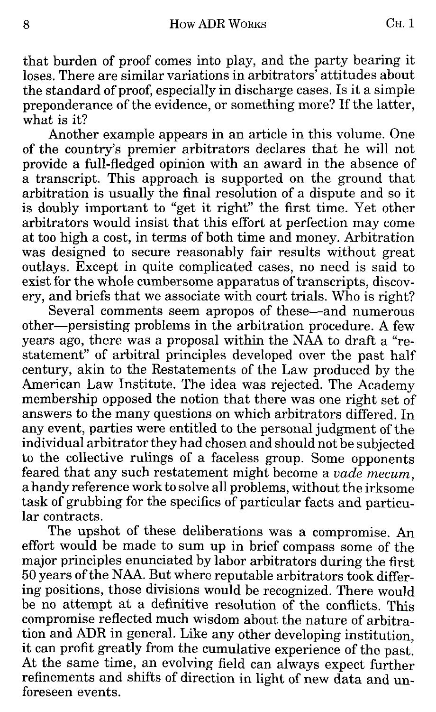that burden of proof comes into play, and the party bearing it loses. There are similar variations in arbitrators' attitudes about the standard of proof, especially in discharge cases. Is it a simple preponderance of the evidence, or something more? If the latter, what is it?

Another example appears in an article in this volume. One of the country's premier arbitrators declares that he will not provide a full-fledged opinion with an award in the absence of a transcript. This approach is supported on the ground that arbitration is usually the final resolution of a dispute and so it is doubly important to "get it right" the first time. Yet other arbitrators would insist that this effort at perfection may come at too high a cost, in terms of both time and money. Arbitration was designed to secure reasonably fair results without great outlays. Except in quite complicated cases, no need is said to exist for the whole cumbersome apparatus of transcripts, discovery, and briefs that we associate with court trials. Who is right?

Several comments seem apropos of these—and numerous other—persisting problems in the arbitration procedure. A few years ago, there was a proposal within the NAA to draft a "restatement" of arbitral principles developed over the past half century, akin to the Restatements of the Law produced by the American Law Institute. The idea was rejected. The Academy membership opposed the notion that there was one right set of answers to the many questions on which arbitrators differed. In any event, parties were entitled to the personal judgment of the individual arbitrator they had chosen and should not be subjected to the collective rulings of a faceless group. Some opponents feared that any such restatement might become a *vade mecum,*  a handy reference work to solve all problems, without the irksome task of grubbing for the specifics of particular facts and particular contracts.

The upshot of these deliberations was a compromise. An effort would be made to sum up in brief compass some of the major principles enunciated by labor arbitrators during the first 50 years of the NAA. But where reputable arbitrators took differing positions, those divisions would be recognized. There would be no attempt at a definitive resolution of the conflicts. This compromise reflected much wisdom about the nature of arbitration and ADR in general. Like any other developing institution, it can profit greatly from the cumulative experience of the past. At the same time, an evolving field can always expect further refinements and shifts of direction in light of new data and unforeseen events.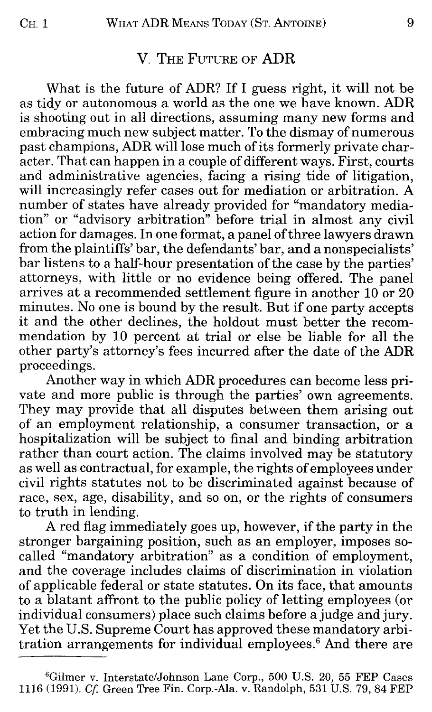#### V. THE FUTURE OF ADR

What is the future of ADR? If I guess right, it will not be as tidy or autonomous a world as the one we have known. ADR is shooting out in all directions, assuming many new forms and embracing much new subject matter. To the dismay of numerous past champions, ADR will lose much of its formerly private character. That can happen in a couple of different ways. First, courts and administrative agencies, facing a rising tide of litigation, will increasingly refer cases out for mediation or arbitration. A number of states have already provided for "mandatory mediation" or "advisory arbitration" before trial in almost any civil action for damages. In one format, a panel of three lawyers drawn from the plaintiffs' bar, the defendants' bar, and a nonspecialists' bar listens to a half-hour presentation of the case by the parties' attorneys, with little or no evidence being offered. The panel arrives at a recommended settlement figure in another 10 or 20 minutes. No one is bound by the result. But if one party accepts it and the other declines, the holdout must better the recommendation by 10 percent at trial or else be liable for all the other party's attorney's fees incurred after the date of the **ADR**  proceedings.

Another way in which ADR procedures can become less private and more public is through the parties' own agreements. They may provide that all disputes between them arising out of an employment relationship, a consumer transaction, or a hospitalization will be subject to final and binding arbitration rather than court action. The claims involved may be statutory as well as contractual, for example, the rights of employees under civil rights statutes not to be discriminated against because of race, sex, age, disability, and so on, or the rights of consumers to truth in lending.

A red flag immediately goes up, however, if the party in the stronger bargaining position, such as an employer, imposes socalled "mandatory arbitration" as a condition of employment, and the coverage includes claims of discrimination in violation of applicable federal or state statutes. On its face, that amounts to a blatant affront to the public policy of letting employees (or individual consumers) place such claims before a judge and jury. Yet the U.S. Supreme Court has approved these mandatory arbitration arrangements for individual employees. 6 And there are

<sup>6</sup> Gilmer v. Interstate/Johnson Lane Corp., 500 U.S. 20, 55 FEP Cases 1116 (1991). *Cf* Green Tree Fin. Corp.-Ala. v. Randolph, 531 U.S. 79, 84 FEP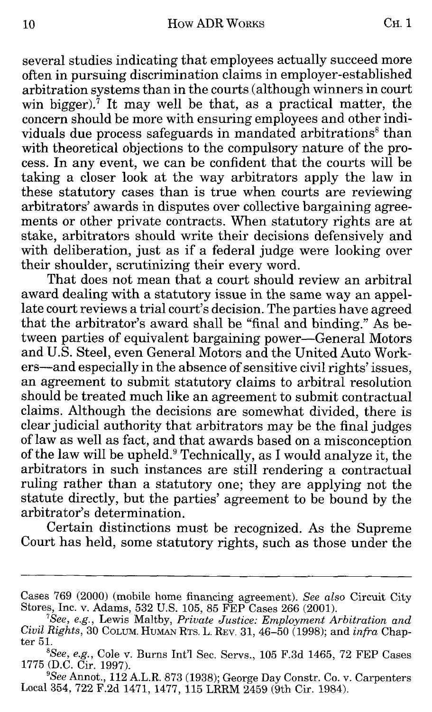several studies indicating that employees actually succeed more often in pursuing discrimination claims in employer-established arbitration systems than in the courts (although winners in court win bigger).<sup>7</sup> It may well be that, as a practical matter, the concern should be more with ensuring employees and other individuals due process safeguards in mandated arbitrations<sup>8</sup> than with theoretical objections to the compulsory nature of the process. In any event, we can be confident that the courts will be taking a closer look at the way arbitrators apply the law in these statutory cases than is true when courts are reviewing arbitrators' awards in disputes over collective bargaining agreements or other private contracts. When statutory rights are at stake, arbitrators should write their decisions defensively and with deliberation, just as if a federal judge were looking over their shoulder, scrutinizing their every word.

That does not mean that a court should review an arbitral award dealing with a statutory issue in the same way an appellate court reviews a trial court's decision. The parties have agreed that the arbitrator's award shall be "final and binding." As between parties of equivalent bargaining power-General Motors and U.S. Steel, even General Motors and the United Auto Workers-and especially in the absence of sensitive civil rights' issues, an agreement to submit statutory claims to arbitral resolution should be treated much like an agreement to submit contractual claims. Although the decisions are somewhat divided, there is clear judicial authority that arbitrators may be the final judges of law as well as fact, and that awards based on a misconception of the law will be upheld.<sup>9</sup> Technically, as I would analyze it, the arbitrators in such instances are still rendering a contractual ruling rather than a statutory one; they are applying not the statute directly, but the parties' agreement to be bound by the arbitrator's determination.

Certain distinctions must be recognized. As the Supreme Court has held, some statutory rights, such as those under the

Cases 769 (2000) (mobile home financing agreement). *See also* Circuit City Stores, Inc. v. Adams, 532 U.S. 105, 85 FEP Cases 266 (2001). *<sup>7</sup>*

*See, e.g.,* Lewis Maltby, *Private Justice: Employment Arbitration and Civil Rights,* 30 CoLUM. HUMAN RTs. L. REV. 31, 46-50 (1998); and *infra* Chapter 51.

<sup>8</sup> *See, e.g.,* Cole v. Burns Int'l Sec. Servs., 105 F.3d 1465, 72 FEP Cases 1775 (D.C. Cir. 1997).

*See* Annot., 112 A.L.R. 873 (1938); George Day Constr. Co. v. Carpenters Local 354, 722 F.2d 1471, 1477, 115 LRRM 2459 (9th Cir. 1984).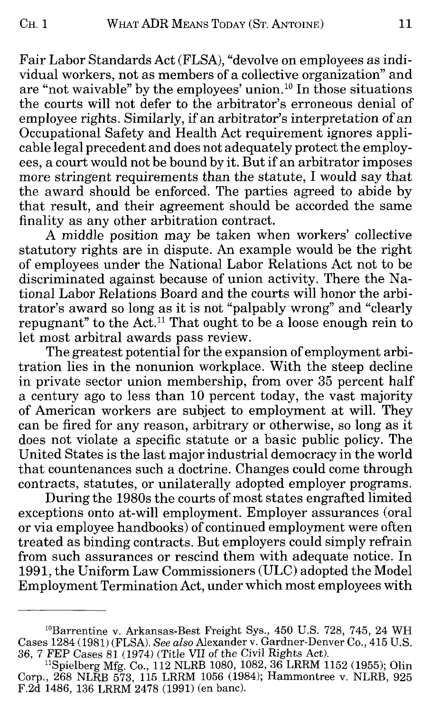Fair Labor Standards Act (FLSA), "devolve on employees as individual workers, not as members of a collective organization" and are "not waivable" by the employees' union. 10 In those situations the courts will not defer to the arbitrator's erroneous denial of employee rights. Similarly, if an arbitrator's interpretation of an Occupational Safety and Health Act requirement ignores applicable legal precedent and does not adequately protect the employees, a court would not be bound by it. But if an arbitrator imposes more stringent requirements than the statute, I would say that the award should be enforced. The parties agreed to abide by that result, and their agreement should be accorded the same finality as any other arbitration contract.

A middle position may be taken when workers' collective statutory rights are in dispute. An example would be the right of employees under the National Labor Relations Act not to be discriminated against because of union activity. There the National Labor Relations Board and the courts will honor the arbitrator's award so long as it is not "palpably wrong" and "clearly repugnant" to the Act.<sup>11</sup> That ought to be a loose enough rein to let most arbitral awards pass review.

The greatest potential for the expansion of employment arbitration lies in the nonunion workplace. With the steep decline in private sector union membership, from over 35 percent half a century ago to less than 10 percent today, the vast majority of American workers are subject to employment at will. They can be fired for any reason, arbitrary or otherwise, so long as it does not violate a specific statute or a basic public policy. The United States is the last major industrial democracy in the world that countenances such a doctrine. Changes could come through contracts, statutes, or unilaterally adopted employer programs.

During the 1980s the courts of most states engrafted limited exceptions onto at-will employment. Employer assurances (oral or via employee handbooks) of continued employment were often treated as binding contracts. But employers could simply refrain from such assurances or rescind them with adequate notice. In 1991, the Uniform Law Commissioners (ULC) adopted the Model Employment Termination Act, under which most employees with

<sup>10</sup>Barrentine v. Arkansas-Best Freight Sys., 450 U.S. 728, 745, 24 WH Cases 1284 (1981) (FLSA). *See also* Alexander v. Gardner-Denver Co., 415 U.S. 36, 7 FEP Cases 81 (1974) (Title VII of the Civil Rights Act).

<sup>&</sup>lt;sup>11</sup>Spielberg Mfg. Co., 112 NLRB 1080, 1082, 36 LRRM 1152 (1955); Olin Corp., 268 NLRB 573, 115 LRRM 1056 (1984); Hammontree v. NLRB, 925 F.2d 1486, 136 LRRM 2478 (1991) (en bane).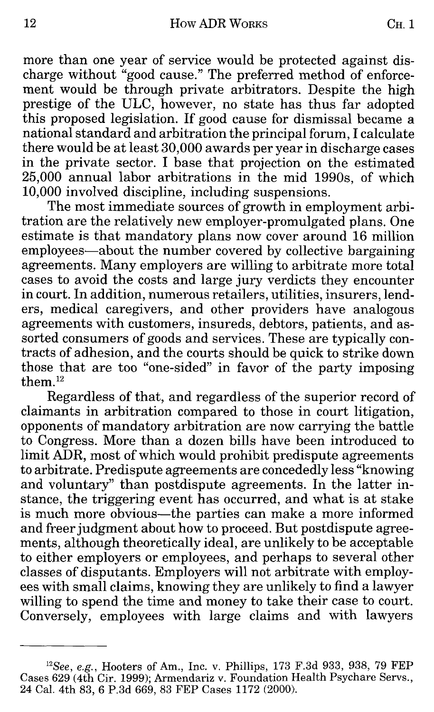more than one year of service would be protected against discharge without "good cause." The preferred method of enforcement would be through private arbitrators. Despite the high prestige of the ULC, however, no state has thus far adopted this proposed legislation. If good cause for dismissal became a national standard and arbitration the principal forum, I calculate there would be at least 30,000 awards per year in discharge cases in the private sector. I base that projection on the estimated 25,000 annual labor arbitrations in the mid 1990s, of which 10,000 involved discipline, including suspensions.

The most immediate sources of growth in employment arbitration are the relatively new employer-promulgated plans. One estimate is that mandatory plans now cover around 16 million employees—about the number covered by collective bargaining agreements. Many employers are willing to arbitrate more total cases to avoid the costs and large jury verdicts they encounter in court. In addition, numerous retailers, utilities, insurers, lenders, medical caregivers, and other providers have analogous agreements with customers, insureds, debtors, patients, and assorted consumers of goods and services. These are typically contracts of adhesion, and the courts should be quick to strike down those that are too "one-sided" in favor of the party imposing them.<sup>12</sup>

Regardless of that, and regardless of the superior record of claimants in arbitration compared to those in court litigation, opponents of mandatory arbitration are now carrying the battle to Congress. More than a dozen bills have been introduced to limit ADR, most of which would prohibit predispute agreements to arbitrate. Predispute agreements are concededly less "knowing and voluntary" than postdispute agreements. In the latter instance, the triggering event has occurred, and what is at stake is much more obvious—the parties can make a more informed and freer judgment about how to proceed. But postdispute agreements, although theoretically ideal, are unlikely to be acceptable to either employers or employees, and perhaps to several other classes of disputants. Employers will not arbitrate with employees with small claims, knowing they are unlikely to find a lawyer willing to spend the time and money to take their case to court. Conversely, employees with large claims and with lawyers

<sup>&</sup>lt;sup>12</sup>See, e.g., Hooters of Am., Inc. v. Phillips, 173 F.3d 933, 938, 79 FEP Cases 629 (4th Cir. 1999); Armendariz v. Foundation Health Psychare Servs., 24 Cal. 4th 83, 6 P.3d 669, 83 FEP Cases 1172 (2000).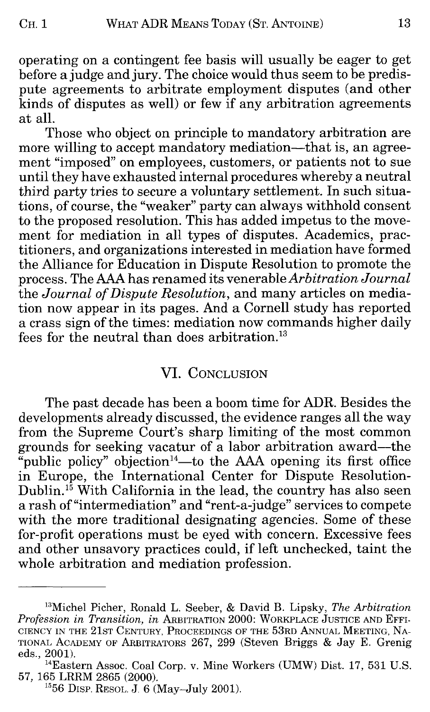operating on a contingent fee basis will usually be eager to get before a judge and jury. The choice would thus seem to be predispute agreements to arbitrate employment disputes (and other kinds of disputes as well) or few if any arbitration agreements at all.

Those who object on principle to mandatory arbitration are more willing to accept mandatory mediation—that is, an agreement "imposed" on employees, customers, or patients not to sue until they have exhausted internal procedures whereby a neutral third party tries to secure a voluntary settlement. In such situations, of course, the "weaker" party can always withhold consent to the proposed resolution. This has added impetus to the movement for mediation in all types of disputes. Academics, practitioners, and organizations interested in mediation have formed the Alliance for Education in Dispute Resolution to promote the process. The AAA has renamed its venerable *Arbitration Journal*  the *Journal of Dispute Resolution,* and many articles on mediation now appear in its pages. And a Cornell study has reported a crass sign of the times: mediation now commands higher daily fees for the neutral than does arbitration.<sup>13</sup>

#### VI. CONCLUSION

The past decade has been a boom time for ADR. Besides the developments already discussed, the evidence ranges all the way from the Supreme Court's sharp limiting of the most common grounds for seeking vacatur of a labor arbitration award-the "public policy" objection<sup>14</sup>—to the AAA opening its first office in Europe, the International Center for Dispute Resolution-Dublin.<sup>15</sup> With California in the lead, the country has also seen a rash of"intermediation" and "rent-a-judge" services to compete with the more traditional designating agencies. Some of these for-profit operations must be eyed with concern. Excessive fees and other unsavory practices could, if left unchecked, taint the whole arbitration and mediation profession.

<sup>13</sup>Michel Picher, Ronald L. Seeber, & David B. Lipsky, *The Arbitration Profession in Transition, in* ARBITRATION 2000: WORKPLACE JUSTICE AND EFFI-CIENCY IN THE 21ST CENTURY, PROCEEDINGS OF THE 53RD ANNUAL MEETING, NA-TIONAL ACADEMY OF ARBITRATORS 267, 299 (Steven Briggs & Jay E. Grenig eds., 2001).

<sup>&</sup>lt;sup>14</sup>Eastern Assoc. Coal Corp. v. Mine Workers (UMW) Dist. 17, 531 U.S. 57, 165 LRRM 2865 (2000).

 $1556$  DISP. RESOL. J. 6 (May-July 2001).